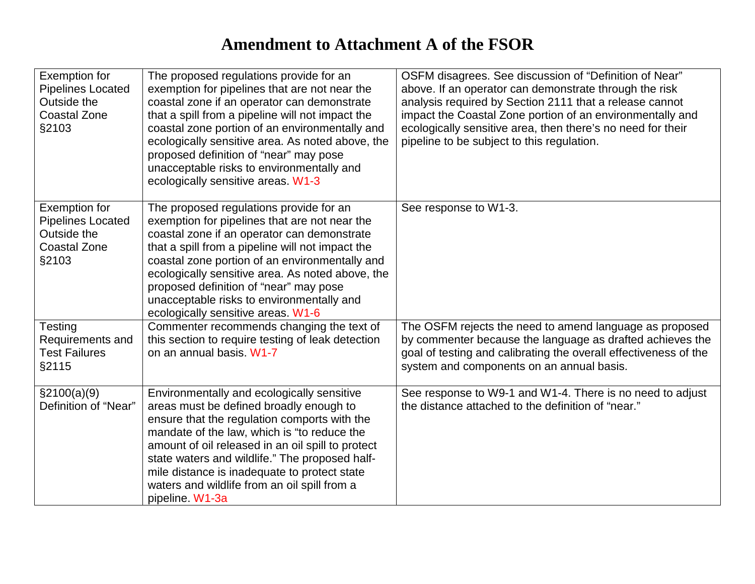## **Amendment to Attachment A of the FSOR**

| Exemption for<br><b>Pipelines Located</b><br>Outside the<br><b>Coastal Zone</b><br>§2103        | The proposed regulations provide for an<br>exemption for pipelines that are not near the<br>coastal zone if an operator can demonstrate<br>that a spill from a pipeline will not impact the<br>coastal zone portion of an environmentally and<br>ecologically sensitive area. As noted above, the<br>proposed definition of "near" may pose<br>unacceptable risks to environmentally and<br>ecologically sensitive areas. W1-3 | OSFM disagrees. See discussion of "Definition of Near"<br>above. If an operator can demonstrate through the risk<br>analysis required by Section 2111 that a release cannot<br>impact the Coastal Zone portion of an environmentally and<br>ecologically sensitive area, then there's no need for their<br>pipeline to be subject to this regulation. |
|-------------------------------------------------------------------------------------------------|--------------------------------------------------------------------------------------------------------------------------------------------------------------------------------------------------------------------------------------------------------------------------------------------------------------------------------------------------------------------------------------------------------------------------------|-------------------------------------------------------------------------------------------------------------------------------------------------------------------------------------------------------------------------------------------------------------------------------------------------------------------------------------------------------|
| <b>Exemption for</b><br><b>Pipelines Located</b><br>Outside the<br><b>Coastal Zone</b><br>§2103 | The proposed regulations provide for an<br>exemption for pipelines that are not near the<br>coastal zone if an operator can demonstrate<br>that a spill from a pipeline will not impact the<br>coastal zone portion of an environmentally and<br>ecologically sensitive area. As noted above, the<br>proposed definition of "near" may pose<br>unacceptable risks to environmentally and<br>ecologically sensitive areas. W1-6 | See response to W1-3.                                                                                                                                                                                                                                                                                                                                 |
| Testing<br>Requirements and<br><b>Test Failures</b><br>§2115                                    | Commenter recommends changing the text of<br>this section to require testing of leak detection<br>on an annual basis. W1-7                                                                                                                                                                                                                                                                                                     | The OSFM rejects the need to amend language as proposed<br>by commenter because the language as drafted achieves the<br>goal of testing and calibrating the overall effectiveness of the<br>system and components on an annual basis.                                                                                                                 |
| \$2100(a)(9)<br>Definition of "Near"                                                            | Environmentally and ecologically sensitive<br>areas must be defined broadly enough to<br>ensure that the regulation comports with the<br>mandate of the law, which is "to reduce the<br>amount of oil released in an oil spill to protect<br>state waters and wildlife." The proposed half-<br>mile distance is inadequate to protect state<br>waters and wildlife from an oil spill from a<br>pipeline. W1-3a                 | See response to W9-1 and W1-4. There is no need to adjust<br>the distance attached to the definition of "near."                                                                                                                                                                                                                                       |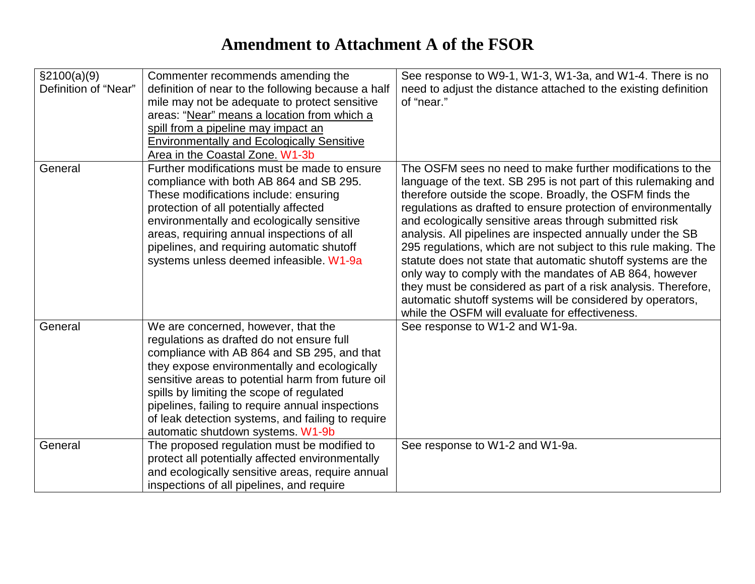## **Amendment to Attachment A of the FSOR**

| \$2100(a)(9)<br>Definition of "Near" | Commenter recommends amending the<br>definition of near to the following because a half<br>mile may not be adequate to protect sensitive<br>areas: "Near" means a location from which a<br>spill from a pipeline may impact an<br><b>Environmentally and Ecologically Sensitive</b><br>Area in the Coastal Zone. W1-3b                                                                                                          | See response to W9-1, W1-3, W1-3a, and W1-4. There is no<br>need to adjust the distance attached to the existing definition<br>of "near."                                                                                                                                                                                                                                                                                                                                                                                                                                                                                                                                                                                                                               |
|--------------------------------------|---------------------------------------------------------------------------------------------------------------------------------------------------------------------------------------------------------------------------------------------------------------------------------------------------------------------------------------------------------------------------------------------------------------------------------|-------------------------------------------------------------------------------------------------------------------------------------------------------------------------------------------------------------------------------------------------------------------------------------------------------------------------------------------------------------------------------------------------------------------------------------------------------------------------------------------------------------------------------------------------------------------------------------------------------------------------------------------------------------------------------------------------------------------------------------------------------------------------|
| General                              | Further modifications must be made to ensure<br>compliance with both AB 864 and SB 295.<br>These modifications include: ensuring<br>protection of all potentially affected<br>environmentally and ecologically sensitive<br>areas, requiring annual inspections of all<br>pipelines, and requiring automatic shutoff<br>systems unless deemed infeasible. W1-9a                                                                 | The OSFM sees no need to make further modifications to the<br>language of the text. SB 295 is not part of this rulemaking and<br>therefore outside the scope. Broadly, the OSFM finds the<br>regulations as drafted to ensure protection of environmentally<br>and ecologically sensitive areas through submitted risk<br>analysis. All pipelines are inspected annually under the SB<br>295 regulations, which are not subject to this rule making. The<br>statute does not state that automatic shutoff systems are the<br>only way to comply with the mandates of AB 864, however<br>they must be considered as part of a risk analysis. Therefore,<br>automatic shutoff systems will be considered by operators,<br>while the OSFM will evaluate for effectiveness. |
| General                              | We are concerned, however, that the<br>regulations as drafted do not ensure full<br>compliance with AB 864 and SB 295, and that<br>they expose environmentally and ecologically<br>sensitive areas to potential harm from future oil<br>spills by limiting the scope of regulated<br>pipelines, failing to require annual inspections<br>of leak detection systems, and failing to require<br>automatic shutdown systems. W1-9b | See response to W1-2 and W1-9a.                                                                                                                                                                                                                                                                                                                                                                                                                                                                                                                                                                                                                                                                                                                                         |
| General                              | The proposed regulation must be modified to<br>protect all potentially affected environmentally<br>and ecologically sensitive areas, require annual<br>inspections of all pipelines, and require                                                                                                                                                                                                                                | See response to W1-2 and W1-9a.                                                                                                                                                                                                                                                                                                                                                                                                                                                                                                                                                                                                                                                                                                                                         |